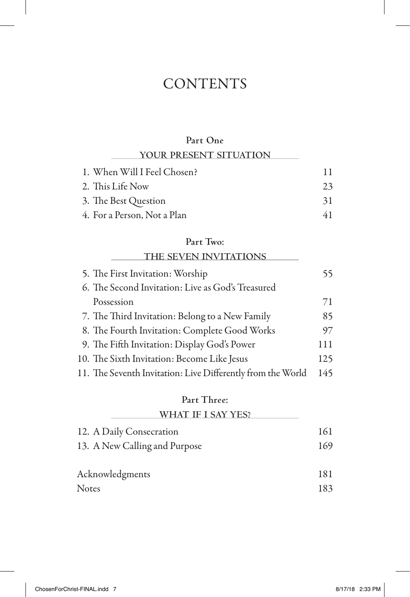## **CONTENTS**

## **Part One**

| YOUR PRESENT SITUATION      |    |
|-----------------------------|----|
| 1. When Will I Feel Chosen? | 11 |
| 2. This Life Now            | 23 |
| 3. The Best Question        | 31 |
| 4. For a Person, Not a Plan | 41 |

## **Part Two:**

| THE SEVEN INVITATIONS                                       |     |
|-------------------------------------------------------------|-----|
| 5. The First Invitation: Worship                            | 55  |
| 6. The Second Invitation: Live as God's Treasured           |     |
| Possession                                                  | 71  |
| 7. The Third Invitation: Belong to a New Family             | 85  |
| 8. The Fourth Invitation: Complete Good Works               | 97  |
| 9. The Fifth Invitation: Display God's Power                | 111 |
| 10. The Sixth Invitation: Become Like Jesus                 | 125 |
| 11. The Seventh Invitation: Live Differently from the World | 145 |

### **Part Three:**

| WHAT IF I SAY YES?            |     |
|-------------------------------|-----|
| 12. A Daily Consecration      | 161 |
| 13. A New Calling and Purpose | 169 |
| Acknowledgments               | 181 |
| <b>Notes</b>                  | 183 |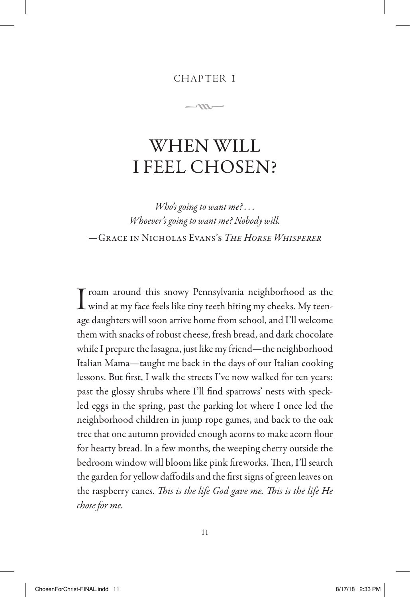#### CHAPTER 1

 $\rightarrow$ 

# WHEN WILL I FEEL CHOSEN?

*Who's going to want me? . . . Whoever's going to want me? Nobody will.* —Grace in Nicholas Evans's *The Horse Whisperer*

I roam around this snowy Pennsylvania neighborhood as the wind at my face feels like tiny teeth biting my cheeks. My teenage daughters will soon arrive home from school, and I'll welcome them with snacks of robust cheese, fresh bread, and dark chocolate while I prepare the lasagna, just like my friend—the neighborhood Italian Mama—taught me back in the days of our Italian cooking lessons. But first, I walk the streets I've now walked for ten years: past the glossy shrubs where I'll find sparrows' nests with speckled eggs in the spring, past the parking lot where I once led the neighborhood children in jump rope games, and back to the oak tree that one autumn provided enough acorns to make acorn flour for hearty bread. In a few months, the weeping cherry outside the bedroom window will bloom like pink fireworks. Then, I'll search the garden for yellow daffodils and the first signs of green leaves on the raspberry canes. *This is the life God gave me. This is the life He chose for me.*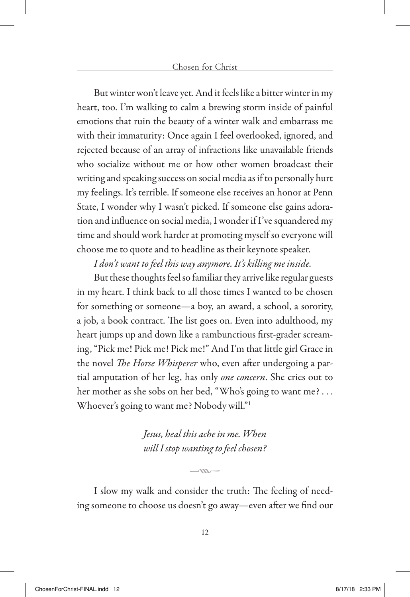But winter won't leave yet. And it feels like a bitter winter in my heart, too. I'm walking to calm a brewing storm inside of painful emotions that ruin the beauty of a winter walk and embarrass me with their immaturity: Once again I feel overlooked, ignored, and rejected because of an array of infractions like unavailable friends who socialize without me or how other women broadcast their writing and speaking success on social media as if to personally hurt my feelings. It's terrible. If someone else receives an honor at Penn State, I wonder why I wasn't picked. If someone else gains adoration and influence on social media, I wonder if I've squandered my time and should work harder at promoting myself so everyone will choose me to quote and to headline as their keynote speaker.

### *I don't want to feel this way anymore. It's killing me inside.*

But these thoughts feel so familiar they arrive like regular guests in my heart. I think back to all those times I wanted to be chosen for something or someone—a boy, an award, a school, a sorority, a job, a book contract. The list goes on. Even into adulthood, my heart jumps up and down like a rambunctious first-grader screaming, "Pick me! Pick me! Pick me!" And I'm that little girl Grace in the novel *The Horse Whisperer* who, even after undergoing a partial amputation of her leg, has only *one concern*. She cries out to her mother as she sobs on her bed, "Who's going to want me? . . . Whoever's going to want me? Nobody will."1

> *Jesus, heal this ache in me. When will I stop wanting to feel chosen?*

I slow my walk and consider the truth: The feeling of needing someone to choose us doesn't go away—even after we find our

 $-m-$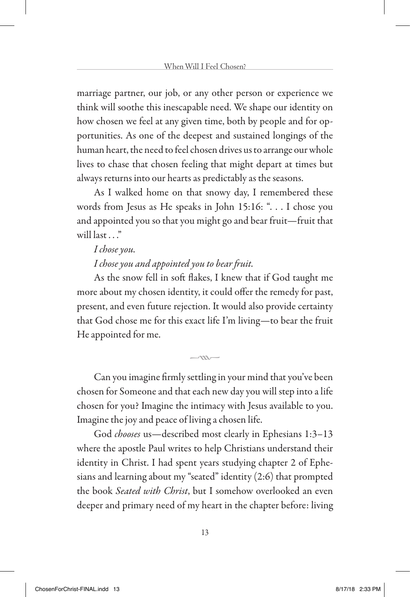marriage partner, our job, or any other person or experience we think will soothe this inescapable need. We shape our identity on how chosen we feel at any given time, both by people and for opportunities. As one of the deepest and sustained longings of the human heart, the need to feel chosen drives us to arrange our whole lives to chase that chosen feeling that might depart at times but always returns into our hearts as predictably as the seasons.

As I walked home on that snowy day, I remembered these words from Jesus as He speaks in John 15:16: ". . . I chose you and appointed you so that you might go and bear fruit—fruit that will last  $"$ 

#### *I chose you.*

### *I chose you and appointed you to bear fruit.*

As the snow fell in soft flakes, I knew that if God taught me more about my chosen identity, it could offer the remedy for past, present, and even future rejection. It would also provide certainty that God chose me for this exact life I'm living—to bear the fruit He appointed for me.

Can you imagine firmly settling in your mind that you've been chosen for Someone and that each new day you will step into a life chosen for you? Imagine the intimacy with Jesus available to you. Imagine the joy and peace of living a chosen life.

 $-m-$ 

God *chooses* us—described most clearly in Ephesians 1:3–13 where the apostle Paul writes to help Christians understand their identity in Christ. I had spent years studying chapter 2 of Ephesians and learning about my "seated" identity (2:6) that prompted the book *Seated with Christ*, but I somehow overlooked an even deeper and primary need of my heart in the chapter before: living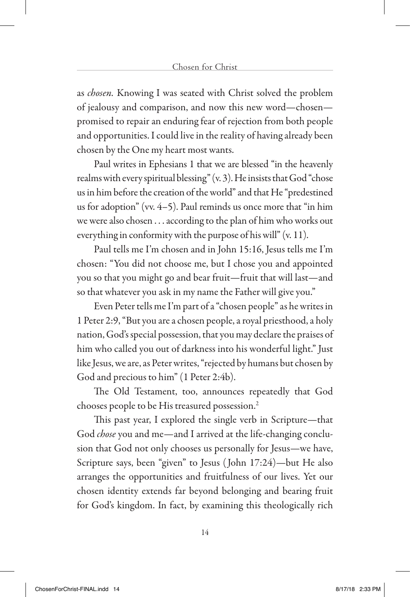as *chosen.* Knowing I was seated with Christ solved the problem of jealousy and comparison, and now this new word—chosen promised to repair an enduring fear of rejection from both people and opportunities. I could live in the reality of having already been chosen by the One my heart most wants.

Paul writes in Ephesians 1 that we are blessed "in the heavenly realms with every spiritual blessing" (v. 3). He insists that God "chose us in him before the creation of the world" and that He "predestined us for adoption" (vv. 4–5). Paul reminds us once more that "in him we were also chosen . . . according to the plan of him who works out everything in conformity with the purpose of his will" (v. 11).

Paul tells me I'm chosen and in John 15:16, Jesus tells me I'm chosen: "You did not choose me, but I chose you and appointed you so that you might go and bear fruit—fruit that will last—and so that whatever you ask in my name the Father will give you."

Even Peter tells me I'm part of a "chosen people" as he writes in 1 Peter 2:9, "But you are a chosen people, a royal priesthood, a holy nation, God's special possession, that you may declare the praises of him who called you out of darkness into his wonderful light." Just like Jesus, we are, as Peter writes, "rejected by humans but chosen by God and precious to him" (1 Peter 2:4b).

The Old Testament, too, announces repeatedly that God chooses people to be His treasured possession.2

This past year, I explored the single verb in Scripture—that God *chose* you and me—and I arrived at the life-changing conclusion that God not only chooses us personally for Jesus—we have, Scripture says, been "given" to Jesus ( John 17:24)—but He also arranges the opportunities and fruitfulness of our lives. Yet our chosen identity extends far beyond belonging and bearing fruit for God's kingdom. In fact, by examining this theologically rich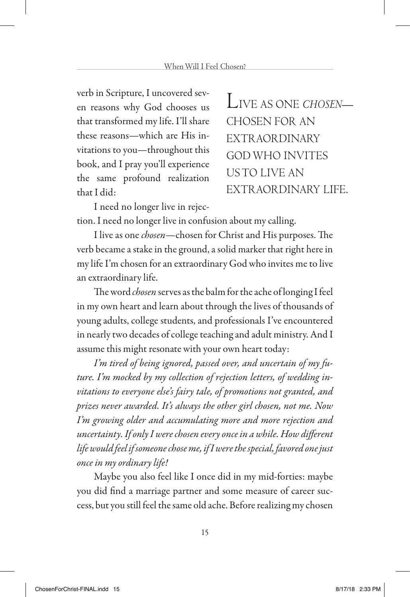verb in Scripture, I uncovered seven reasons why God chooses us that transformed my life. I'll share these reasons—which are His invitations to you—throughout this book, and I pray you'll experience the same profound realization that I did:

LIVE AS ONE *CHOSEN*— CHOSEN FOR AN EXTRAORDINARY GOD WHO INVITES US TO LIVE AN EXTRAORDINARY LIFE.

I need no longer live in rejection. I need no longer live in confusion about my calling.

I live as one *chosen*—chosen for Christ and His purposes. The verb became a stake in the ground, a solid marker that right here in my life I'm chosen for an extraordinary God who invites me to live an extraordinary life.

The word *chosen* serves as the balm for the ache of longing I feel in my own heart and learn about through the lives of thousands of young adults, college students, and professionals I've encountered in nearly two decades of college teaching and adult ministry. And I assume this might resonate with your own heart today:

*I'm tired of being ignored, passed over, and uncertain of my future. I'm mocked by my collection of rejection letters, of wedding invitations to everyone else's fairy tale, of promotions not granted, and prizes never awarded. It's always the other girl chosen, not me. Now I'm growing older and accumulating more and more rejection and uncertainty. If only I were chosen every once in a while. How different life would feel if someone chose me, if I were the special, favored one just once in my ordinary life!* 

Maybe you also feel like I once did in my mid-forties: maybe you did find a marriage partner and some measure of career success, but you still feel the same old ache. Before realizing my chosen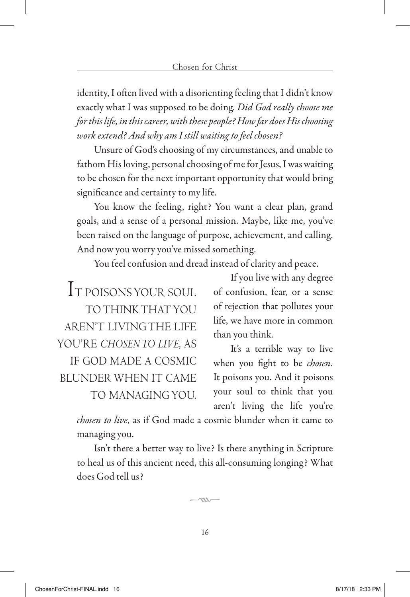identity, I often lived with a disorienting feeling that I didn't know exactly what I was supposed to be doing*. Did God really choose me for this life, in this career, with these people? How far does His choosing work extend? And why am I still waiting to feel chosen?* 

Unsure of God's choosing of my circumstances, and unable to fathom His loving, personal choosing of me for Jesus, I was waiting to be chosen for the next important opportunity that would bring significance and certainty to my life.

You know the feeling, right? You want a clear plan, grand goals, and a sense of a personal mission. Maybe, like me, you've been raised on the language of purpose, achievement, and calling. And now you worry you've missed something.

You feel confusion and dread instead of clarity and peace.

IT POISONS YOUR SOUL TO THINK THAT YOU AREN'T LIVING THE LIFE YOU'RE *CHOSEN TO LIVE*, AS IF GOD MADE A COSMIC BLUNDER WHEN IT CAME TO MANAGING YOU.

If you live with any degree of confusion, fear, or a sense of rejection that pollutes your life, we have more in common than you think.

It's a terrible way to live when you fight to be *chosen.*  It poisons you. And it poisons your soul to think that you aren't living the life you're

*chosen to live*, as if God made a cosmic blunder when it came to managing you.

Isn't there a better way to live? Is there anything in Scripture to heal us of this ancient need, this all-consuming longing? What does God tell us?

 $\sim$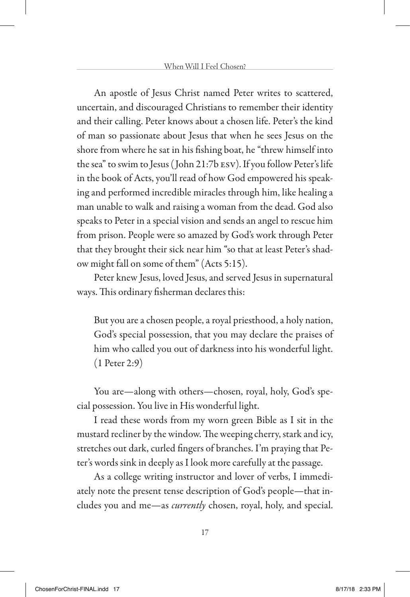An apostle of Jesus Christ named Peter writes to scattered, uncertain, and discouraged Christians to remember their identity and their calling. Peter knows about a chosen life. Peter's the kind of man so passionate about Jesus that when he sees Jesus on the shore from where he sat in his fishing boat, he "threw himself into the sea" to swim to Jesus ( John 21:7b esv). If you follow Peter's life in the book of Acts, you'll read of how God empowered his speaking and performed incredible miracles through him, like healing a man unable to walk and raising a woman from the dead. God also speaks to Peter in a special vision and sends an angel to rescue him from prison. People were so amazed by God's work through Peter that they brought their sick near him "so that at least Peter's shadow might fall on some of them" (Acts 5:15).

Peter knew Jesus, loved Jesus, and served Jesus in supernatural ways. This ordinary fisherman declares this:

But you are a chosen people, a royal priesthood, a holy nation, God's special possession, that you may declare the praises of him who called you out of darkness into his wonderful light. (1 Peter 2:9)

You are—along with others—chosen, royal, holy, God's special possession. You live in His wonderful light.

I read these words from my worn green Bible as I sit in the mustard recliner by the window. The weeping cherry, stark and icy, stretches out dark, curled fingers of branches. I'm praying that Peter's words sink in deeply as I look more carefully at the passage.

As a college writing instructor and lover of verbs, I immediately note the present tense description of God's people—that includes you and me—as *currently* chosen, royal, holy, and special.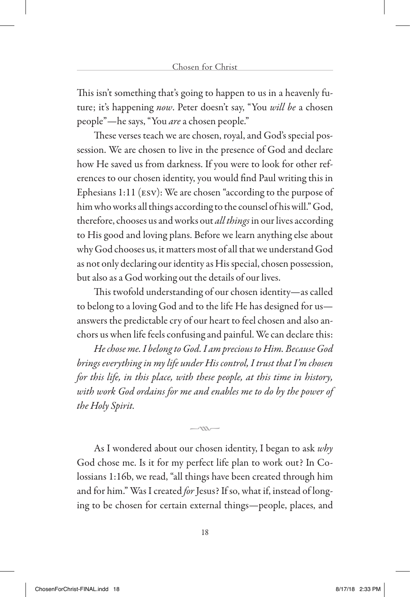This isn't something that's going to happen to us in a heavenly future; it's happening *now*. Peter doesn't say, "You *will be* a chosen people"—he says, "You *are* a chosen people."

These verses teach we are chosen, royal, and God's special possession. We are chosen to live in the presence of God and declare how He saved us from darkness. If you were to look for other references to our chosen identity, you would find Paul writing this in Ephesians 1:11 (esv): We are chosen "according to the purpose of him who works all things according to the counsel of his will." God, therefore, chooses us and works out *all things* in our lives according to His good and loving plans. Before we learn anything else about why God chooses us, it matters most of all that we understand God as not only declaring our identity as His special, chosen possession, but also as a God working out the details of our lives.

This twofold understanding of our chosen identity—as called to belong to a loving God and to the life He has designed for us answers the predictable cry of our heart to feel chosen and also anchors us when life feels confusing and painful. We can declare this:

*He chose me. I belong to God. I am precious to Him. Because God brings everything in my life under His control, I trust that I'm chosen for this life, in this place, with these people, at this time in history, with work God ordains for me and enables me to do by the power of the Holy Spirit.* 

As I wondered about our chosen identity, I began to ask *why* God chose me. Is it for my perfect life plan to work out? In Colossians 1:16b, we read, "all things have been created through him and for him." Was I created *for* Jesus? If so, what if, instead of longing to be chosen for certain external things—people, places, and

 $-\infty$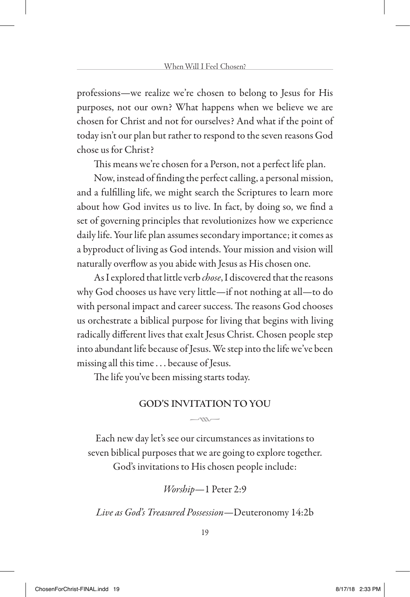professions—we realize we're chosen to belong to Jesus for His purposes, not our own? What happens when we believe we are chosen for Christ and not for ourselves? And what if the point of today isn't our plan but rather to respond to the seven reasons God chose us for Christ?

This means we're chosen for a Person, not a perfect life plan.

Now, instead of finding the perfect calling, a personal mission, and a fulfilling life, we might search the Scriptures to learn more about how God invites us to live. In fact, by doing so, we find a set of governing principles that revolutionizes how we experience daily life. Your life plan assumes secondary importance; it comes as a byproduct of living as God intends. Your mission and vision will naturally overflow as you abide with Jesus as His chosen one.

As I explored that little verb *chose*, I discovered that the reasons why God chooses us have very little—if not nothing at all—to do with personal impact and career success. The reasons God chooses us orchestrate a biblical purpose for living that begins with living radically different lives that exalt Jesus Christ. Chosen people step into abundant life because of Jesus. We step into the life we've been missing all this time . . . because of Jesus.

The life you've been missing starts today.

#### **GOD'S INVITATION TO YOU**  $-m-$

Each new day let's see our circumstances as invitations to seven biblical purposes that we are going to explore together. God's invitations to His chosen people include:

*Worship*—1 Peter 2:9

*Live as God's Treasured Possession*—Deuteronomy 14:2b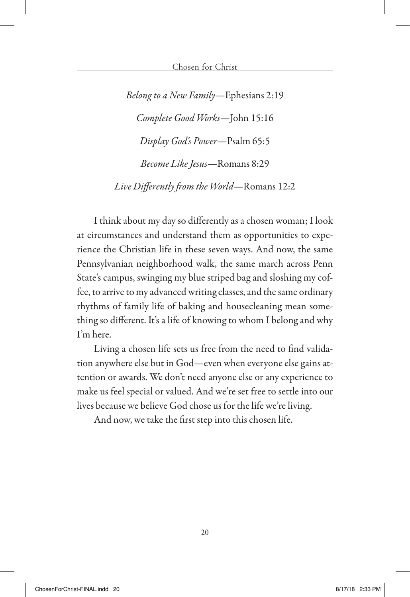*Belong to a New Family*—Ephesians 2:19 *Complete Good Works*—John 15:16 *Display God's Power*—Psalm 65:5 *Become Like Jesus*—Romans 8:29 *Live Differently from the World*—Romans 12:2

I think about my day so differently as a chosen woman; I look at circumstances and understand them as opportunities to experience the Christian life in these seven ways. And now, the same Pennsylvanian neighborhood walk, the same march across Penn State's campus, swinging my blue striped bag and sloshing my coffee, to arrive to my advanced writing classes, and the same ordinary rhythms of family life of baking and housecleaning mean something so different. It's a life of knowing to whom I belong and why I'm here.

Living a chosen life sets us free from the need to find validation anywhere else but in God—even when everyone else gains attention or awards. We don't need anyone else or any experience to make us feel special or valued. And we're set free to settle into our lives because we believe God chose us for the life we're living.

And now, we take the first step into this chosen life.